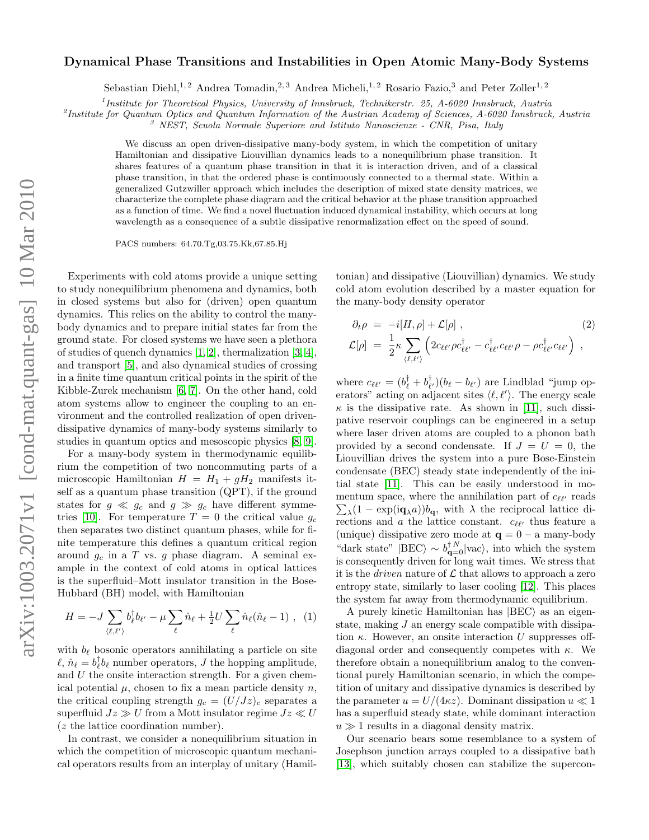## arXiv:1003.2071v1 [cond-mat.quant-gas] 10 Mar 2010 arXiv:1003.2071v1 [cond-mat.quant-gas] 10 Mar 2010

## Dynamical Phase Transitions and Instabilities in Open Atomic Many-Body Systems

Sebastian Diehl,<sup>1, 2</sup> Andrea Tomadin,<sup>2, 3</sup> Andrea Micheli,<sup>1, 2</sup> Rosario Fazio,<sup>3</sup> and Peter Zoller<sup>1, 2</sup>

<sup>1</sup>Institute for Theoretical Physics, University of Innsbruck, Technikerstr. 25, A-6020 Innsbruck, Austria

<sup>2</sup>Institute for Quantum Optics and Quantum Information of the Austrian Academy of Sciences, A-6020 Innsbruck, Austria

<sup>3</sup> NEST, Scuola Normale Superiore and Istituto Nanoscienze - CNR, Pisa, Italy

We discuss an open driven-dissipative many-body system, in which the competition of unitary Hamiltonian and dissipative Liouvillian dynamics leads to a nonequilibrium phase transition. It shares features of a quantum phase transition in that it is interaction driven, and of a classical phase transition, in that the ordered phase is continuously connected to a thermal state. Within a generalized Gutzwiller approach which includes the description of mixed state density matrices, we characterize the complete phase diagram and the critical behavior at the phase transition approached as a function of time. We find a novel fluctuation induced dynamical instability, which occurs at long wavelength as a consequence of a subtle dissipative renormalization effect on the speed of sound.

PACS numbers: 64.70.Tg,03.75.Kk,67.85.Hj

Experiments with cold atoms provide a unique setting to study nonequilibrium phenomena and dynamics, both in closed systems but also for (driven) open quantum dynamics. This relies on the ability to control the manybody dynamics and to prepare initial states far from the ground state. For closed systems we have seen a plethora of studies of quench dynamics [\[1,](#page-3-0) [2\]](#page-3-1), thermalization [\[3,](#page-3-2) [4\]](#page-3-3), and transport [\[5\]](#page-3-4), and also dynamical studies of crossing in a finite time quantum critical points in the spirit of the Kibble-Zurek mechanism [\[6,](#page-4-0) [7\]](#page-4-1). On the other hand, cold atom systems allow to engineer the coupling to an environment and the controlled realization of open drivendissipative dynamics of many-body systems similarly to studies in quantum optics and mesoscopic physics [\[8,](#page-4-2) [9\]](#page-4-3).

For a many-body system in thermodynamic equilibrium the competition of two noncommuting parts of a microscopic Hamiltonian  $H = H_1 + gH_2$  manifests itself as a quantum phase transition (QPT), if the ground states for  $g \ll g_c$  and  $g \gg g_c$  have different symme-tries [\[10\]](#page-4-4). For temperature  $T = 0$  the critical value  $g_c$ then separates two distinct quantum phases, while for finite temperature this defines a quantum critical region around  $g_c$  in a T vs. g phase diagram. A seminal example in the context of cold atoms in optical lattices is the superfluid–Mott insulator transition in the Bose-Hubbard (BH) model, with Hamiltonian

$$
H = -J \sum_{\langle \ell, \ell' \rangle} b_{\ell}^{\dagger} b_{\ell'} - \mu \sum_{\ell} \hat{n}_{\ell} + \frac{1}{2} U \sum_{\ell} \hat{n}_{\ell} (\hat{n}_{\ell} - 1) , \quad (1)
$$

with  $b_{\ell}$  bosonic operators annihilating a particle on site  $\ell, \hat{n}_{\ell} = b_{\ell}^{\dagger} b_{\ell}$  number operators, J the hopping amplitude, and U the onsite interaction strength. For a given chemical potential  $\mu$ , chosen to fix a mean particle density n, the critical coupling strength  $g_c = (U/Jz)_c$  separates a superfluid  $Jz \gg U$  from a Mott insulator regime  $Jz \ll U$ (z the lattice coordination number).

In contrast, we consider a nonequilibrium situation in which the competition of microscopic quantum mechanical operators results from an interplay of unitary (Hamil-

tonian) and dissipative (Liouvillian) dynamics. We study cold atom evolution described by a master equation for the many-body density operator

<span id="page-0-0"></span>
$$
\partial_t \rho = -i[H, \rho] + \mathcal{L}[\rho], \qquad (2)
$$
\n
$$
\mathcal{L}[\rho] = \frac{1}{2} \kappa \sum_{\langle \ell, \ell' \rangle} \left( 2c_{\ell \ell'} \rho c_{\ell \ell'}^{\dagger} - c_{\ell \ell'}^{\dagger} c_{\ell \ell'} \rho - \rho c_{\ell \ell'}^{\dagger} c_{\ell \ell'} \right) ,
$$

where  $c_{\ell\ell'} = (b_{\ell}^{\dagger} + b_{\ell'}^{\dagger}) (b_{\ell} - b_{\ell'})$  are Lindblad "jump operators" acting on adjacent sites  $\langle \ell, \ell' \rangle$ . The energy scale  $\kappa$  is the dissipative rate. As shown in [\[11\]](#page-4-5), such dissipative reservoir couplings can be engineered in a setup where laser driven atoms are coupled to a phonon bath provided by a second condensate. If  $J = U = 0$ , the Liouvillian drives the system into a pure Bose-Einstein condensate (BEC) steady state independently of the initial state [\[11\]](#page-4-5). This can be easily understood in momentum space, where the annihilation part of  $c_{\ell\ell'}$  reads mentum space, where the annihilation part of  $c_{\ell\ell'}$  reads<br> $\sum_{\lambda} (1 - \exp(i\mathbf{q}_{\lambda}a))b_{\mathbf{q}}$ , with  $\lambda$  the reciprocal lattice directions and  $a$  the lattice constant.  $c_{\ell\ell'}$  thus feature a (unique) dissipative zero mode at  $\mathbf{q} = 0$  – a many-body "dark state"  $|BEC\rangle \sim b_{\mathbf{q}=0}^{\dagger N}|vac\rangle$ , into which the system is consequently driven for long wait times. We stress that it is the *driven* nature of  $\mathcal L$  that allows to approach a zero entropy state, similarly to laser cooling [\[12\]](#page-4-6). This places the system far away from thermodynamic equilibrium.

A purely kinetic Hamiltonian has  $|BEC\rangle$  as an eigenstate, making J an energy scale compatible with dissipation  $\kappa$ . However, an onsite interaction U suppresses offdiagonal order and consequently competes with  $\kappa$ . We therefore obtain a nonequilibrium analog to the conventional purely Hamiltonian scenario, in which the competition of unitary and dissipative dynamics is described by the parameter  $u = U/(4\kappa z)$ . Dominant dissipation  $u \ll 1$ has a superfluid steady state, while dominant interaction  $u \gg 1$  results in a diagonal density matrix.

Our scenario bears some resemblance to a system of Josephson junction arrays coupled to a dissipative bath [\[13\]](#page-4-7), which suitably chosen can stabilize the supercon-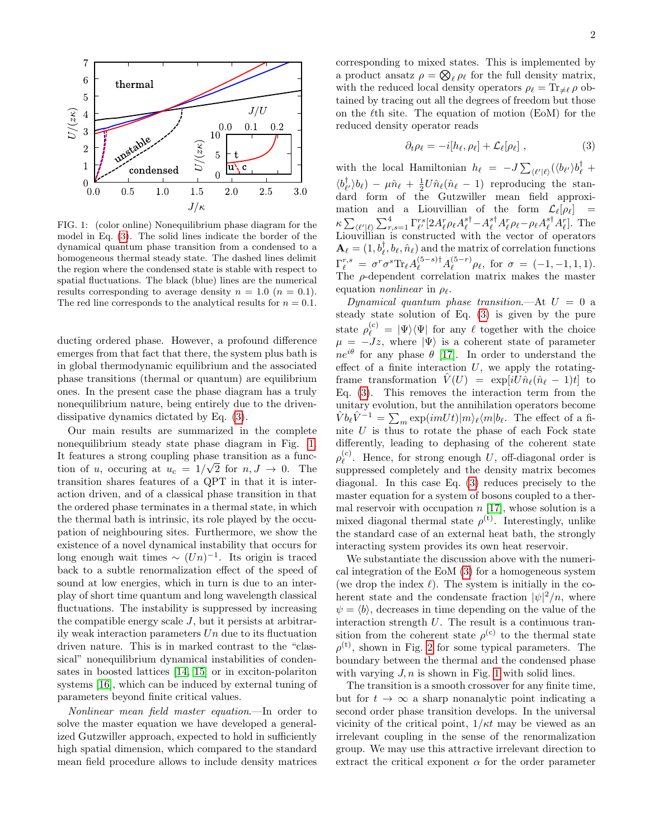

<span id="page-1-1"></span>FIG. 1: (color online) Nonequilibrium phase diagram for the model in Eq. [\(3\)](#page-1-0). The solid lines indicate the border of the dynamical quantum phase transition from a condensed to a homogeneous thermal steady state. The dashed lines delimit the region where the condensed state is stable with respect to spatial fluctuations. The black (blue) lines are the numerical results corresponding to average density  $n = 1.0$   $(n = 0.1)$ . The red line corresponds to the analytical results for  $n = 0.1$ .

ducting ordered phase. However, a profound difference emerges from that fact that there, the system plus bath is in global thermodynamic equilibrium and the associated phase transitions (thermal or quantum) are equilibrium ones. In the present case the phase diagram has a truly nonequilibrium nature, being entirely due to the drivendissipative dynamics dictated by Eq. [\(3\)](#page-0-0).

Our main results are summarized in the complete nonequilibrium steady state phase diagram in Fig. [1.](#page-1-1) It features a strong coupling phase transition as a function of u, occuring at  $u_c = 1/\sqrt{2}$  for  $n, J \rightarrow 0$ . The transition shares features of a QPT in that it is interaction driven, and of a classical phase transition in that the ordered phase terminates in a thermal state, in which the thermal bath is intrinsic, its role played by the occupation of neighbouring sites. Furthermore, we show the existence of a novel dynamical instability that occurs for long enough wait times  $\sim (Un)^{-1}$ . Its origin is traced back to a subtle renormalization effect of the speed of sound at low energies, which in turn is due to an interplay of short time quantum and long wavelength classical fluctuations. The instability is suppressed by increasing the compatible energy scale  $J$ , but it persists at arbitrarily weak interaction parameters  $Un$  due to its fluctuation driven nature. This is in marked contrast to the "classical" nonequilibrium dynamical instabilities of condensates in boosted lattices [\[14,](#page-4-8) [15\]](#page-4-9) or in exciton-polariton systems [\[16\]](#page-4-10), which can be induced by external tuning of parameters beyond finite critical values.

Nonlinear mean field master equation.—In order to solve the master equation we have developed a generalized Gutzwiller approach, expected to hold in sufficiently high spatial dimension, which compared to the standard mean field procedure allows to include density matrices corresponding to mixed states. This is implemented by a product ansatz  $\rho = \bigotimes_{\ell} \rho_{\ell}$  for the full density matrix, with the reduced local density operators  $\rho_{\ell} = \text{Tr}_{\neq \ell} \rho$  obtained by tracing out all the degrees of freedom but those on the  $\ell$ th site. The equation of motion (EoM) for the reduced density operator reads

<span id="page-1-0"></span>
$$
\partial_t \rho_\ell = -i[h_\ell, \rho_\ell] + \mathcal{L}_\ell[\rho_\ell] \;, \tag{3}
$$

with the local Hamiltonian  $h_{\ell} = -J \sum_{\langle \ell' | \ell \rangle} (\langle b_{\ell'} \rangle b_{\ell}^{\dagger} +$  $\langle b_{\ell'}^{\dagger} \rangle b_{\ell} \rangle - \mu \hat{n}_{\ell} + \frac{1}{2} U \hat{n}_{\ell} (\hat{n}_{\ell} - 1)$  reproducing the standard form of the Gutzwiller mean field approximation and a Liouvillian of the form  $\mathcal{L}_{\ell}[\rho_{\ell}]$  =  $\kappa \sum_{\langle \ell' | \ell \rangle} \sum_{r,s=1}^4 \Gamma_{\ell'}^{rs} [2 A_\ell^r \rho_\ell A_\ell^{s\dagger} - A_\ell^{s\dagger} A_\ell^r \rho_\ell - \rho_\ell A_\ell^{s\dagger} A_\ell^r].$  The Liouvillian is constructed with the vector of operators  $\mathbf{A}_{\ell} = (1, b_{\ell}^{\dagger}, b_{\ell}, \hat{n}_{\ell})$  and the matrix of correlation functions  $\Gamma^{r,s}_\ell \ = \ \sigma^r \sigma^s \text{Tr}_\ell A_\ell^{(5-s)\dagger} A_\ell^{(5-r)}$  $\int_{\ell}^{(5-r)} \rho_{\ell}$ , for  $\sigma = (-1, -1, 1, 1).$ The  $\rho$ -dependent correlation matrix makes the master equation *nonlinear* in  $\rho_{\ell}$ .

Dynamical quantum phase transition.—At  $U = 0$  a steady state solution of Eq. [\(3\)](#page-1-0) is given by the pure state  $\rho_{\ell}^{(c)} = |\Psi\rangle\langle\Psi|$  for any  $\ell$  together with the choice  $\mu = -Jz$ , where  $|\Psi\rangle$  is a coherent state of parameter  $ne^{i\theta}$  for any phase  $\theta$  [\[17\]](#page-4-11). In order to understand the effect of a finite interaction  $U$ , we apply the rotatingframe transformation  $\hat{V}(U) = \exp[iU\hat{n}_\ell(\hat{n}_\ell - 1)t]$  to Eq. [\(3\)](#page-1-0). This removes the interaction term from the unitary evolution, but the annihilation operators become  $\hat{V}b_{\ell}\hat{V}^{-1} = \sum_{m} \exp(imUt)|m\rangle_{\ell}\langle m|b_{\ell}$ . The effect of a finite  $U$  is thus to rotate the phase of each Fock state differently, leading to dephasing of the coherent state  $\rho_{\ell}^{(c)}$  $\ell$ . Hence, for strong enough U, off-diagonal order is suppressed completely and the density matrix becomes diagonal. In this case Eq. [\(3\)](#page-1-0) reduces precisely to the master equation for a system of bosons coupled to a thermal reservoir with occupation  $n$  [\[17\]](#page-4-11), whose solution is a mixed diagonal thermal state  $\rho^{(t)}$ . Interestingly, unlike the standard case of an external heat bath, the strongly interacting system provides its own heat reservoir.

We substantiate the discussion above with the numerical integration of the EoM [\(3\)](#page-1-0) for a homogeneous system (we drop the index  $\ell$ ). The system is initially in the coherent state and the condensate fraction  $|\psi|^2/n$ , where  $\psi = \langle b \rangle$ , decreases in time depending on the value of the interaction strength  $U$ . The result is a continuous transition from the coherent state  $\rho^{(c)}$  to the thermal state  $\rho^{(t)}$ , shown in Fig. [2](#page-2-0) for some typical parameters. The boundary between the thermal and the condensed phase with varying  $J, n$  is shown in Fig. [1](#page-1-1) with solid lines.

The transition is a smooth crossover for any finite time, but for  $t \to \infty$  a sharp nonanalytic point indicating a second order phase transition develops. In the universal vicinity of the critical point,  $1/\kappa t$  may be viewed as an irrelevant coupling in the sense of the renormalization group. We may use this attractive irrelevant direction to extract the critical exponent  $\alpha$  for the order parameter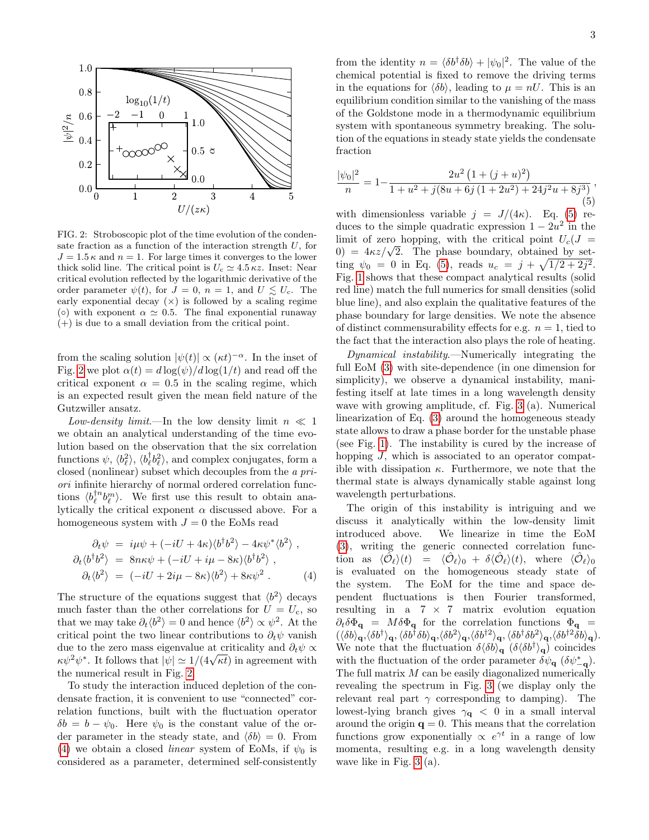

<span id="page-2-0"></span>FIG. 2: Stroboscopic plot of the time evolution of the condensate fraction as a function of the interaction strength  $U$ , for  $J = 1.5 \kappa$  and  $n = 1$ . For large times it converges to the lower thick solid line. The critical point is  $U_c \simeq 4.5 \kappa z$ . Inset: Near critical evolution reflected by the logarithmic derivative of the order parameter  $\psi(t)$ , for  $J = 0$ ,  $n = 1$ , and  $U \lesssim U_c$ . The early exponential decay  $(x)$  is followed by a scaling regime ( $\circ$ ) with exponent  $\alpha \simeq 0.5$ . The final exponential runaway  $(+)$  is due to a small deviation from the critical point.

from the scaling solution  $|\psi(t)| \propto (\kappa t)^{-\alpha}$ . In the inset of Fig. [2](#page-2-0) we plot  $\alpha(t) = d \log(\psi) / d \log(1/t)$  and read off the critical exponent  $\alpha = 0.5$  in the scaling regime, which is an expected result given the mean field nature of the Gutzwiller ansatz.

Low-density limit.—In the low density limit  $n \ll 1$ we obtain an analytical understanding of the time evolution based on the observation that the six correlation functions  $\psi$ ,  $\langle b_{\ell}^{\dagger} \rangle$ ,  $\langle b_{\ell}^{\dagger} b_{\ell}^2 \rangle$ , and complex conjugates, form a closed (nonlinear) subset which decouples from the a priori infinite hierarchy of normal ordered correlation functions  $\langle b_{\ell}^{\dagger n} b_{\ell}^{m} \rangle$ . We first use this result to obtain analytically the critical exponent  $\alpha$  discussed above. For a homogeneous system with  $J = 0$  the EoMs read

<span id="page-2-1"></span>
$$
\partial_t \psi = i\mu \psi + (-iU + 4\kappa) \langle b^\dagger b^2 \rangle - 4\kappa \psi^* \langle b^2 \rangle ,
$$
  
\n
$$
\partial_t \langle b^\dagger b^2 \rangle = 8n\kappa \psi + (-iU + i\mu - 8\kappa) \langle b^\dagger b^2 \rangle ,
$$
  
\n
$$
\partial_t \langle b^2 \rangle = (-iU + 2i\mu - 8\kappa) \langle b^2 \rangle + 8\kappa \psi^2 .
$$
 (4)

The structure of the equations suggest that  $\langle b^2 \rangle$  decays much faster than the other correlations for  $U = U_c$ , so that we may take  $\partial_t \langle b^2 \rangle = 0$  and hence  $\langle b^2 \rangle \propto \psi^2$ . At the critical point the two linear contributions to  $\partial_t \psi$  vanish due to the zero mass eigenvalue at criticality and  $\partial_t \psi \propto$ απε το the zero mass eigenvalue at criticality and  $o_t \psi \propto \kappa \psi^2 \psi^*$ . It follows that  $|\psi| \simeq 1/(4\sqrt{\kappa t})$  in agreement with the numerical result in Fig. [2.](#page-2-0)

To study the interaction induced depletion of the condensate fraction, it is convenient to use "connected" correlation functions, built with the fluctuation operator  $\delta b = b - \psi_0$ . Here  $\psi_0$  is the constant value of the order parameter in the steady state, and  $\langle \delta b \rangle = 0$ . From [\(4\)](#page-2-1) we obtain a closed *linear* system of EoMs, if  $\psi_0$  is considered as a parameter, determined self-consistently

from the identity  $n = \langle \delta b^{\dagger} \delta b \rangle + |\psi_0|^2$ . The value of the chemical potential is fixed to remove the driving terms in the equations for  $\langle \delta b \rangle$ , leading to  $\mu = nU$ . This is an equilibrium condition similar to the vanishing of the mass of the Goldstone mode in a thermodynamic equilibrium system with spontaneous symmetry breaking. The solution of the equations in steady state yields the condensate fraction

<span id="page-2-2"></span>
$$
\frac{|\psi_0|^2}{n} = 1 - \frac{2u^2 \left(1 + (j+u)^2\right)}{1 + u^2 + j(8u + 6j(1 + 2u^2) + 24j^2u + 8j^3)},
$$
\n(5)

with dimensionless variable  $j = J/(4\kappa)$ . Eq. [\(5\)](#page-2-2) reduces to the simple quadratic expression  $1 - 2u^2$  in the limit of zero hopping, with the critical point  $U_c(J =$ imit of zero hopping, with the critical point  $U_c(J = 0) = 4\kappa z/\sqrt{2}$ . The phase boundary, obtained by setting  $\psi_0 = 0$  in Eq. [\(5\)](#page-2-2), reads  $u_c = j + \sqrt{1/2 + 2j^2}$ . Fig. [1](#page-1-1) shows that these compact analytical results (solid red line) match the full numerics for small densities (solid blue line), and also explain the qualitative features of the phase boundary for large densities. We note the absence of distinct commensurability effects for e.g.  $n = 1$ , tied to the fact that the interaction also plays the role of heating.

Dynamical instability.—Numerically integrating the full EoM [\(3\)](#page-1-0) with site-dependence (in one dimension for simplicity), we observe a dynamical instability, manifesting itself at late times in a long wavelength density wave with growing amplitude, cf. Fig. [3](#page-3-5) (a). Numerical linearization of Eq. [\(3\)](#page-1-0) around the homogeneous steady state allows to draw a phase border for the unstable phase (see Fig. [1\)](#page-1-1). The instability is cured by the increase of hopping J, which is associated to an operator compatible with dissipation  $\kappa$ . Furthermore, we note that the thermal state is always dynamically stable against long wavelength perturbations.

The origin of this instability is intriguing and we discuss it analytically within the low-density limit introduced above. We linearize in time the EoM [\(3\)](#page-1-0), writing the generic connected correlation func- $\begin{array}{rclclcl} \text{tion} & \text{as} & \langle \tilde{\mathcal{O}}_\ell \rangle (t) & = & \langle \hat{\mathcal{O}}_\ell \rangle_0 \; + \; \delta \langle \hat{\mathcal{O}}_\ell \rangle (t), & \text{where} & \langle \hat{\mathcal{O}}_\ell \rangle_0 \end{array}$ is evaluated on the homogeneous steady state of the system. The EoM for the time and space dependent fluctuations is then Fourier transformed, resulting in a  $7 \times 7$  matrix evolution equation  $\partial_t \delta \Phi_{\bf q} = M \delta \Phi_{\bf q}$  for the correlation functions  $\Phi_{\bf q} =$  $(\langle\delta b\rangle_{\bf q},\langle\delta b^\dagger\rangle_{\bf q},\langle\delta b^\dagger\delta b\rangle_{\bf q},\langle\delta b^2\rangle_{\bf q},\langle\delta b^\dagger^2\rangle_{\bf q},\langle\delta b^\dagger\delta b^2\rangle_{\bf q},\langle\delta b^{\dagger 2}\bar{\delta}b\rangle_{\bf q}).$ We note that the fluctuation  $\delta \langle \delta b \rangle_{\bf q}$  ( $\delta \langle \delta b^{\dagger} \rangle_{\bf q}$ ) coincides with the fluctuation of the order parameter  $\delta\psi_{\bf q}$  ( $\delta\psi_{\bf -q}^*$ ). The full matrix  $M$  can be easily diagonalized numerically revealing the spectrum in Fig. [3](#page-3-5) (we display only the relevant real part  $\gamma$  corresponding to damping). The lowest-lying branch gives  $\gamma_{\mathbf{q}} \ < \ 0$  in a small interval around the origin  $q = 0$ . This means that the correlation functions grow exponentially  $\propto e^{\gamma t}$  in a range of low momenta, resulting e.g. in a long wavelength density wave like in Fig. [3](#page-3-5) (a).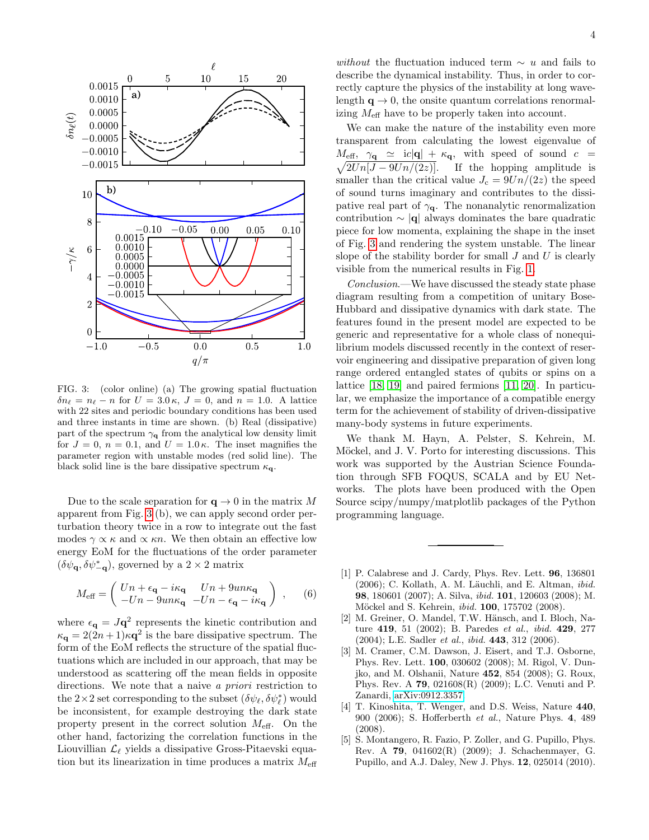

<span id="page-3-5"></span>FIG. 3: (color online) (a) The growing spatial fluctuation  $\delta n_{\ell} = n_{\ell} - n$  for  $U = 3.0 \,\kappa$ ,  $J = 0$ , and  $n = 1.0$ . A lattice with 22 sites and periodic boundary conditions has been used and three instants in time are shown. (b) Real (dissipative) part of the spectrum  $\gamma_{q}$  from the analytical low density limit for  $J = 0$ ,  $n = 0.1$ , and  $U = 1.0 \kappa$ . The inset magnifies the parameter region with unstable modes (red solid line). The black solid line is the bare dissipative spectrum  $\kappa_{q}$ .

Due to the scale separation for  $q \to 0$  in the matrix M apparent from Fig. [3](#page-3-5) (b), we can apply second order perturbation theory twice in a row to integrate out the fast modes  $\gamma \propto \kappa$  and  $\propto \kappa n$ . We then obtain an effective low energy EoM for the fluctuations of the order parameter  $(\delta \psi_{\mathbf{q}}, \delta \psi_{-\mathbf{q}}^{*}),$  governed by a  $2 \times 2$  matrix

$$
M_{\text{eff}} = \begin{pmatrix} Un + \epsilon_{\mathbf{q}} - i\kappa_{\mathbf{q}} & Un + 9un\kappa_{\mathbf{q}} \\ -Un - 9un\kappa_{\mathbf{q}} & -Un - \epsilon_{\mathbf{q}} - i\kappa_{\mathbf{q}} \end{pmatrix} , \qquad (6)
$$

where  $\epsilon_{\mathbf{q}} = J\mathbf{q}^2$  represents the kinetic contribution and  $\kappa_{\mathbf{q}} = 2(2n+1)\kappa \mathbf{q}^2$  is the bare dissipative spectrum. The form of the EoM reflects the structure of the spatial fluctuations which are included in our approach, that may be understood as scattering off the mean fields in opposite directions. We note that a naive a priori restriction to the  $2\times 2$  set corresponding to the subset  $(\delta \psi_{\ell}, \delta \psi_{\ell}^*)$  would be inconsistent, for example destroying the dark state property present in the correct solution  $M_{\text{eff}}$ . On the other hand, factorizing the correlation functions in the Liouvillian  $\mathcal{L}_\ell$  yields a dissipative Gross-Pitaevski equation but its linearization in time produces a matrix  $M_{\rm eff}$ 

without the fluctuation induced term  $\sim u$  and fails to describe the dynamical instability. Thus, in order to correctly capture the physics of the instability at long wavelength  $q \rightarrow 0$ , the onsite quantum correlations renormalizing  $M_{\text{eff}}$  have to be properly taken into account.

We can make the nature of the instability even more transparent from calculating the lowest eigenvalue of  $M_{\text{eff}}$ ,  $\gamma_{\mathbf{q}} \simeq$  ic $|\mathbf{q}| + \kappa_{\mathbf{q}}$ , with speed of sound  $c =$  $\sqrt{2Un[J - 9Un/(2z)]}$ . If the hopping amplitude is smaller than the critical value  $J_c = 9Un/(2z)$  the speed of sound turns imaginary and contributes to the dissipative real part of  $\gamma_{q}$ . The nonanalytic renormalization contribution  $\sim |\mathbf{q}|$  always dominates the bare quadratic piece for low momenta, explaining the shape in the inset of Fig. [3](#page-3-5) and rendering the system unstable. The linear slope of the stability border for small  $J$  and  $U$  is clearly visible from the numerical results in Fig. [1.](#page-1-1)

Conclusion.—We have discussed the steady state phase diagram resulting from a competition of unitary Bose-Hubbard and dissipative dynamics with dark state. The features found in the present model are expected to be generic and representative for a whole class of nonequilibrium models discussed recently in the context of reservoir engineering and dissipative preparation of given long range ordered entangled states of qubits or spins on a lattice [\[18,](#page-4-12) [19\]](#page-4-13) and paired fermions [\[11,](#page-4-5) [20\]](#page-4-14). In particular, we emphasize the importance of a compatible energy term for the achievement of stability of driven-dissipative many-body systems in future experiments.

We thank M. Hayn, A. Pelster, S. Kehrein, M. Möckel, and J. V. Porto for interesting discussions. This work was supported by the Austrian Science Foundation through SFB FOQUS, SCALA and by EU Networks. The plots have been produced with the Open Source scipy/numpy/matplotlib packages of the Python programming language.

- <span id="page-3-0"></span>[1] P. Calabrese and J. Cardy, Phys. Rev. Lett. 96, 136801  $(2006)$ ; C. Kollath, A. M. Läuchli, and E. Altman, *ibid.* 98, 180601 (2007); A. Silva, ibid. 101, 120603 (2008); M. Möckel and S. Kehrein, *ibid.* **100**, 175702 (2008).
- <span id="page-3-1"></span>[2] M. Greiner, O. Mandel, T.W. Hänsch, and I. Bloch, Nature 419, 51 (2002); B. Paredes et al., ibid. 429, 277 (2004); L.E. Sadler *et al.*, *ibid.* **443**, 312 (2006).
- <span id="page-3-2"></span>[3] M. Cramer, C.M. Dawson, J. Eisert, and T.J. Osborne, Phys. Rev. Lett. 100, 030602 (2008); M. Rigol, V. Dunjko, and M. Olshanii, Nature 452, 854 (2008); G. Roux, Phys. Rev. A 79, 021608(R) (2009); L.C. Venuti and P. Zanardi, [arXiv:0912.3357.](http://arxiv.org/abs/0912.3357)
- <span id="page-3-3"></span>[4] T. Kinoshita, T. Wenger, and D.S. Weiss, Nature 440, 900 (2006); S. Hofferberth et al., Nature Phys. 4, 489 (2008).
- <span id="page-3-4"></span>[5] S. Montangero, R. Fazio, P. Zoller, and G. Pupillo, Phys. Rev. A 79, 041602(R) (2009); J. Schachenmayer, G. Pupillo, and A.J. Daley, New J. Phys. 12, 025014 (2010).